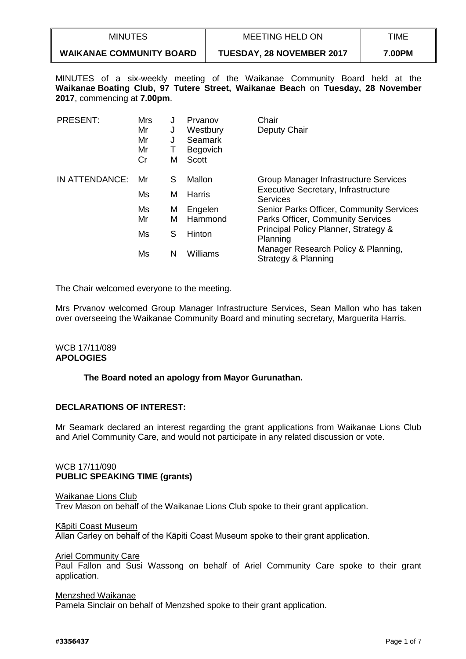| MINUTES                         | MEETING HELD ON                  | TIME   |
|---------------------------------|----------------------------------|--------|
| <b>WAIKANAE COMMUNITY BOARD</b> | <b>TUESDAY, 28 NOVEMBER 2017</b> | 7.00PM |

MINUTES of a six-weekly meeting of the Waikanae Community Board held at the **Waikanae Boating Club, 97 Tutere Street, Waikanae Beach** on **Tuesday, 28 November 2017**, commencing at **7.00pm**.

| <b>PRESENT:</b> | Mrs<br>Mr<br>Mr<br>Mr<br>Cr | J<br>J<br>J<br>M | Prvanov<br>Westbury<br><b>Seamark</b><br><b>Begovich</b><br><b>Scott</b> | Chair<br>Deputy Chair                                         |
|-----------------|-----------------------------|------------------|--------------------------------------------------------------------------|---------------------------------------------------------------|
| IN ATTENDANCE:  | Mr                          | S                | Mallon                                                                   | Group Manager Infrastructure Services                         |
|                 | Ms                          | м                | Harris                                                                   | <b>Executive Secretary, Infrastructure</b><br><b>Services</b> |
|                 | Ms                          | M                | Engelen                                                                  | Senior Parks Officer, Community Services                      |
|                 | Mr                          | М                | Hammond                                                                  | <b>Parks Officer, Community Services</b>                      |
|                 | Ms                          | S                | <b>Hinton</b>                                                            | Principal Policy Planner, Strategy &<br>Planning              |
|                 | Ms                          | N                | Williams                                                                 | Manager Research Policy & Planning,<br>Strategy & Planning    |

The Chair welcomed everyone to the meeting.

Mrs Prvanov welcomed Group Manager Infrastructure Services, Sean Mallon who has taken over overseeing the Waikanae Community Board and minuting secretary, Marguerita Harris.

## WCB 17/11/089 **APOLOGIES**

## **The Board noted an apology from Mayor Gurunathan.**

## **DECLARATIONS OF INTEREST:**

Mr Seamark declared an interest regarding the grant applications from Waikanae Lions Club and Ariel Community Care, and would not participate in any related discussion or vote.

## WCB 17/11/090 **PUBLIC SPEAKING TIME (grants)**

## Waikanae Lions Club Trev Mason on behalf of the Waikanae Lions Club spoke to their grant application.

## Kāpiti Coast Museum

Allan Carley on behalf of the Kāpiti Coast Museum spoke to their grant application.

#### Ariel Community Care

Paul Fallon and Susi Wassong on behalf of Ariel Community Care spoke to their grant application.

#### Menzshed Waikanae

Pamela Sinclair on behalf of Menzshed spoke to their grant application.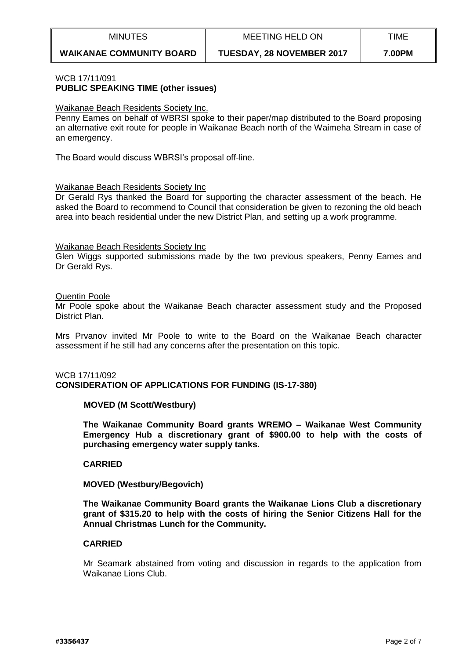| <b>MINUTES</b>                  | MEETING HELD ON                  | TIME   |
|---------------------------------|----------------------------------|--------|
| <b>WAIKANAE COMMUNITY BOARD</b> | <b>TUESDAY, 28 NOVEMBER 2017</b> | 7.00PM |

## WCB 17/11/091 **PUBLIC SPEAKING TIME (other issues)**

#### Waikanae Beach Residents Society Inc.

Penny Eames on behalf of WBRSI spoke to their paper/map distributed to the Board proposing an alternative exit route for people in Waikanae Beach north of the Waimeha Stream in case of an emergency.

The Board would discuss WBRSI's proposal off-line.

#### Waikanae Beach Residents Society Inc

Dr Gerald Rys thanked the Board for supporting the character assessment of the beach. He asked the Board to recommend to Council that consideration be given to rezoning the old beach area into beach residential under the new District Plan, and setting up a work programme.

#### Waikanae Beach Residents Society Inc

Glen Wiggs supported submissions made by the two previous speakers, Penny Eames and Dr Gerald Rys.

#### Quentin Poole

Mr Poole spoke about the Waikanae Beach character assessment study and the Proposed District Plan.

Mrs Prvanov invited Mr Poole to write to the Board on the Waikanae Beach character assessment if he still had any concerns after the presentation on this topic.

## WCB 17/11/092 **CONSIDERATION OF APPLICATIONS FOR FUNDING (IS-17-380)**

## **MOVED (M Scott/Westbury)**

**The Waikanae Community Board grants WREMO – Waikanae West Community Emergency Hub a discretionary grant of \$900.00 to help with the costs of purchasing emergency water supply tanks.**

#### **CARRIED**

## **MOVED (Westbury/Begovich)**

**The Waikanae Community Board grants the Waikanae Lions Club a discretionary grant of \$315.20 to help with the costs of hiring the Senior Citizens Hall for the Annual Christmas Lunch for the Community.**

# **CARRIED**

Mr Seamark abstained from voting and discussion in regards to the application from Waikanae Lions Club.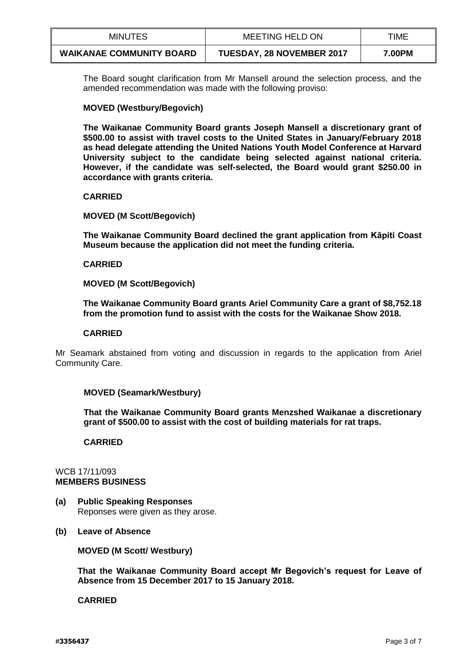| <b>MINUTES</b>                  | <b>MEETING HELD ON</b>           | TIME   |
|---------------------------------|----------------------------------|--------|
| <b>WAIKANAE COMMUNITY BOARD</b> | <b>TUESDAY, 28 NOVEMBER 2017</b> | 7.00PM |

The Board sought clarification from Mr Mansell around the selection process, and the amended recommendation was made with the following proviso:

## **MOVED (Westbury/Begovich)**

**The Waikanae Community Board grants Joseph Mansell a discretionary grant of \$500.00 to assist with travel costs to the United States in January/February 2018 as head delegate attending the United Nations Youth Model Conference at Harvard University subject to the candidate being selected against national criteria. However, if the candidate was self-selected, the Board would grant \$250.00 in accordance with grants criteria.** 

## **CARRIED**

## **MOVED (M Scott/Begovich)**

**The Waikanae Community Board declined the grant application from Kāpiti Coast Museum because the application did not meet the funding criteria.** 

## **CARRIED**

## **MOVED (M Scott/Begovich)**

**The Waikanae Community Board grants Ariel Community Care a grant of \$8,752.18 from the promotion fund to assist with the costs for the Waikanae Show 2018.** 

## **CARRIED**

Mr Seamark abstained from voting and discussion in regards to the application from Ariel Community Care.

## **MOVED (Seamark/Westbury)**

**That the Waikanae Community Board grants Menzshed Waikanae a discretionary grant of \$500.00 to assist with the cost of building materials for rat traps.** 

## **CARRIED**

## WCB 17/11/093 **MEMBERS BUSINESS**

- **(a) Public Speaking Responses** Reponses were given as they arose.
- **(b) Leave of Absence**

**MOVED (M Scott/ Westbury)**

**That the Waikanae Community Board accept Mr Begovich's request for Leave of Absence from 15 December 2017 to 15 January 2018.**

## **CARRIED**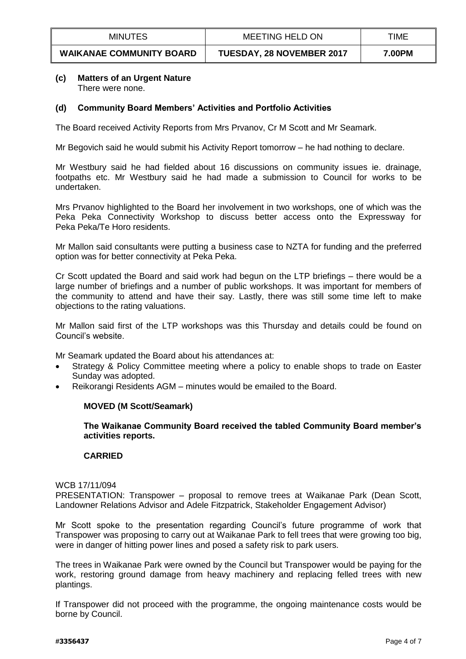| <b>MINUTES</b>                  | <b>MEETING HELD ON</b>           | TIME   |
|---------------------------------|----------------------------------|--------|
| <b>WAIKANAE COMMUNITY BOARD</b> | <b>TUESDAY, 28 NOVEMBER 2017</b> | 7.00PM |

## **(c) Matters of an Urgent Nature** There were none.

## **(d) Community Board Members' Activities and Portfolio Activities**

The Board received Activity Reports from Mrs Prvanov, Cr M Scott and Mr Seamark.

Mr Begovich said he would submit his Activity Report tomorrow – he had nothing to declare.

Mr Westbury said he had fielded about 16 discussions on community issues ie. drainage, footpaths etc. Mr Westbury said he had made a submission to Council for works to be undertaken.

Mrs Prvanov highlighted to the Board her involvement in two workshops, one of which was the Peka Peka Connectivity Workshop to discuss better access onto the Expressway for Peka Peka/Te Horo residents.

Mr Mallon said consultants were putting a business case to NZTA for funding and the preferred option was for better connectivity at Peka Peka.

Cr Scott updated the Board and said work had begun on the LTP briefings – there would be a large number of briefings and a number of public workshops. It was important for members of the community to attend and have their say. Lastly, there was still some time left to make objections to the rating valuations.

Mr Mallon said first of the LTP workshops was this Thursday and details could be found on Council's website.

Mr Seamark updated the Board about his attendances at:

- Strategy & Policy Committee meeting where a policy to enable shops to trade on Easter Sunday was adopted.
- Reikorangi Residents AGM minutes would be emailed to the Board.

## **MOVED (M Scott/Seamark)**

**The Waikanae Community Board received the tabled Community Board member's activities reports.**

## **CARRIED**

#### WCB 17/11/094

PRESENTATION: Transpower – proposal to remove trees at Waikanae Park (Dean Scott, Landowner Relations Advisor and Adele Fitzpatrick, Stakeholder Engagement Advisor)

Mr Scott spoke to the presentation regarding Council's future programme of work that Transpower was proposing to carry out at Waikanae Park to fell trees that were growing too big, were in danger of hitting power lines and posed a safety risk to park users.

The trees in Waikanae Park were owned by the Council but Transpower would be paying for the work, restoring ground damage from heavy machinery and replacing felled trees with new plantings.

If Transpower did not proceed with the programme, the ongoing maintenance costs would be borne by Council.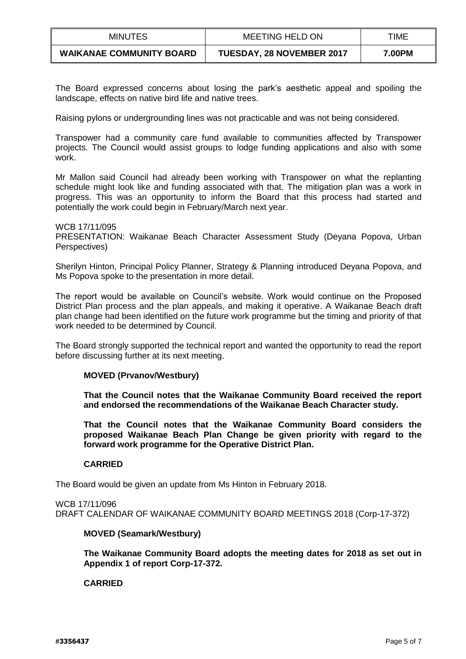| <b>MINUTES</b>                  | <b>MEETING HELD ON</b>           | TIME   |
|---------------------------------|----------------------------------|--------|
| <b>WAIKANAE COMMUNITY BOARD</b> | <b>TUESDAY, 28 NOVEMBER 2017</b> | 7.00PM |

The Board expressed concerns about losing the park's aesthetic appeal and spoiling the landscape, effects on native bird life and native trees.

Raising pylons or undergrounding lines was not practicable and was not being considered.

Transpower had a community care fund available to communities affected by Transpower projects. The Council would assist groups to lodge funding applications and also with some work.

Mr Mallon said Council had already been working with Transpower on what the replanting schedule might look like and funding associated with that. The mitigation plan was a work in progress. This was an opportunity to inform the Board that this process had started and potentially the work could begin in February/March next year.

WCB 17/11/095 PRESENTATION: Waikanae Beach Character Assessment Study (Deyana Popova, Urban Perspectives)

Sherilyn Hinton, Principal Policy Planner, Strategy & Planning introduced Deyana Popova, and Ms Popova spoke to the presentation in more detail.

The report would be available on Council's website. Work would continue on the Proposed District Plan process and the plan appeals, and making it operative. A Waikanae Beach draft plan change had been identified on the future work programme but the timing and priority of that work needed to be determined by Council.

The Board strongly supported the technical report and wanted the opportunity to read the report before discussing further at its next meeting.

## **MOVED (Prvanov/Westbury)**

**That the Council notes that the Waikanae Community Board received the report and endorsed the recommendations of the Waikanae Beach Character study.** 

**That the Council notes that the Waikanae Community Board considers the proposed Waikanae Beach Plan Change be given priority with regard to the forward work programme for the Operative District Plan.** 

## **CARRIED**

The Board would be given an update from Ms Hinton in February 2018.

WCB 17/11/096 DRAFT CALENDAR OF WAIKANAE COMMUNITY BOARD MEETINGS 2018 (Corp-17-372)

# **MOVED (Seamark/Westbury)**

**The Waikanae Community Board adopts the meeting dates for 2018 as set out in Appendix 1 of report Corp-17-372.**

# **CARRIED**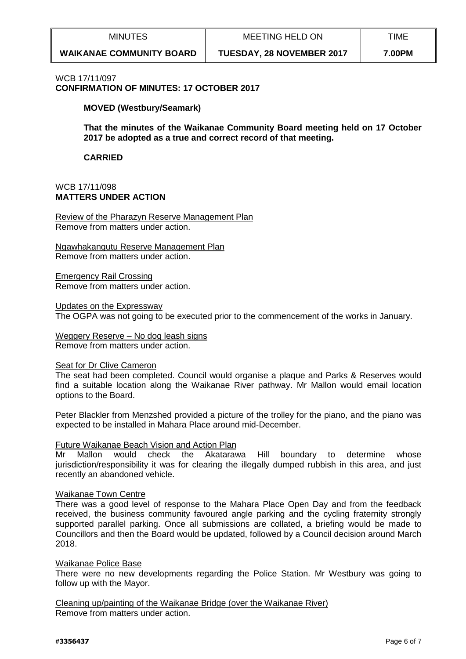| <b>MINUTES</b>                  | MEETING HELD ON                  | TIME   |
|---------------------------------|----------------------------------|--------|
| <b>WAIKANAE COMMUNITY BOARD</b> | <b>TUESDAY, 28 NOVEMBER 2017</b> | 7.00PM |

# WCB 17/11/097

**CONFIRMATION OF MINUTES: 17 OCTOBER 2017**

**MOVED (Westbury/Seamark)**

**That the minutes of the Waikanae Community Board meeting held on 17 October 2017 be adopted as a true and correct record of that meeting.** 

**CARRIED**

## WCB 17/11/098 **MATTERS UNDER ACTION**

Review of the Pharazyn Reserve Management Plan Remove from matters under action.

Ngawhakangutu Reserve Management Plan Remove from matters under action.

Emergency Rail Crossing Remove from matters under action.

Updates on the Expressway The OGPA was not going to be executed prior to the commencement of the works in January.

Weggery Reserve – No dog leash signs Remove from matters under action.

## Seat for Dr Clive Cameron

The seat had been completed. Council would organise a plaque and Parks & Reserves would find a suitable location along the Waikanae River pathway. Mr Mallon would email location options to the Board.

Peter Blackler from Menzshed provided a picture of the trolley for the piano, and the piano was expected to be installed in Mahara Place around mid-December.

## Future Waikanae Beach Vision and Action Plan

Mr Mallon would check the Akatarawa Hill boundary to determine whose jurisdiction/responsibility it was for clearing the illegally dumped rubbish in this area, and just recently an abandoned vehicle.

## Waikanae Town Centre

There was a good level of response to the Mahara Place Open Day and from the feedback received, the business community favoured angle parking and the cycling fraternity strongly supported parallel parking. Once all submissions are collated, a briefing would be made to Councillors and then the Board would be updated, followed by a Council decision around March 2018.

## Waikanae Police Base

There were no new developments regarding the Police Station. Mr Westbury was going to follow up with the Mayor.

Cleaning up/painting of the Waikanae Bridge (over the Waikanae River) Remove from matters under action.